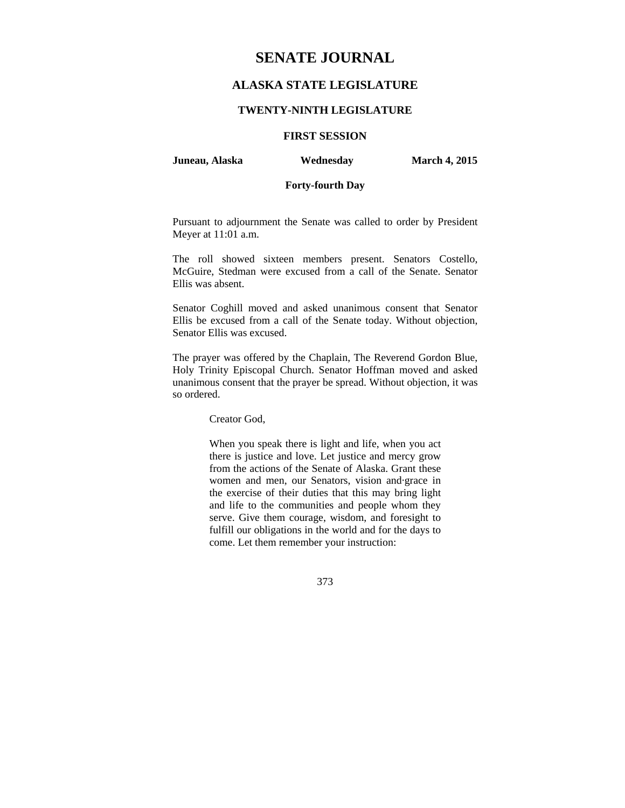# **ALASKA STATE LEGISLATURE**

### **TWENTY-NINTH LEGISLATURE**

# **FIRST SESSION**

**Juneau, Alaska Wednesday March 4, 2015** 

### **Forty-fourth Day**

Pursuant to adjournment the Senate was called to order by President Meyer at 11:01 a.m.

The roll showed sixteen members present. Senators Costello, McGuire, Stedman were excused from a call of the Senate. Senator Ellis was absent.

Senator Coghill moved and asked unanimous consent that Senator Ellis be excused from a call of the Senate today. Without objection, Senator Ellis was excused.

The prayer was offered by the Chaplain, The Reverend Gordon Blue, Holy Trinity Episcopal Church. Senator Hoffman moved and asked unanimous consent that the prayer be spread. Without objection, it was so ordered.

Creator God,

When you speak there is light and life, when you act there is justice and love. Let justice and mercy grow from the actions of the Senate of Alaska. Grant these women and men, our Senators, vision and·grace in the exercise of their duties that this may bring light and life to the communities and people whom they serve. Give them courage, wisdom, and foresight to fulfill our obligations in the world and for the days to come. Let them remember your instruction:

373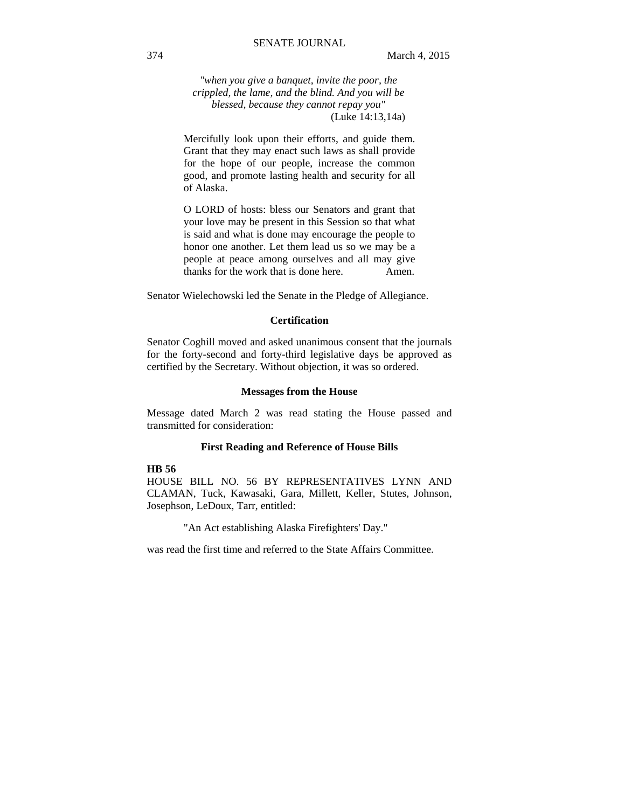*"when you give a banquet, invite the poor, the crippled, the lame, and the blind. And you will be blessed, because they cannot repay you"*  (Luke 14:13,14a)

Mercifully look upon their efforts, and guide them. Grant that they may enact such laws as shall provide for the hope of our people, increase the common good, and promote lasting health and security for all of Alaska.

O LORD of hosts: bless our Senators and grant that your love may be present in this Session so that what is said and what is done may encourage the people to honor one another. Let them lead us so we may be a people at peace among ourselves and all may give thanks for the work that is done here. Amen.

Senator Wielechowski led the Senate in the Pledge of Allegiance.

#### **Certification**

Senator Coghill moved and asked unanimous consent that the journals for the forty-second and forty-third legislative days be approved as certified by the Secretary. Without objection, it was so ordered.

#### **Messages from the House**

Message dated March 2 was read stating the House passed and transmitted for consideration:

#### **First Reading and Reference of House Bills**

#### **HB 56**

HOUSE BILL NO. 56 BY REPRESENTATIVES LYNN AND CLAMAN, Tuck, Kawasaki, Gara, Millett, Keller, Stutes, Johnson, Josephson, LeDoux, Tarr, entitled:

"An Act establishing Alaska Firefighters' Day."

was read the first time and referred to the State Affairs Committee.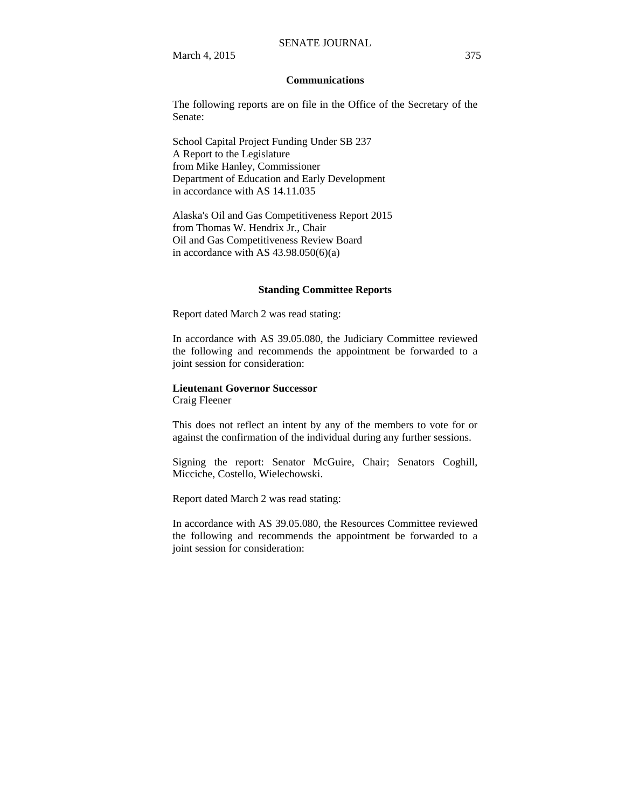March 4, 2015 375

#### **Communications**

The following reports are on file in the Office of the Secretary of the Senate:

School Capital Project Funding Under SB 237 A Report to the Legislature from Mike Hanley, Commissioner Department of Education and Early Development in accordance with AS 14.11.035

Alaska's Oil and Gas Competitiveness Report 2015 from Thomas W. Hendrix Jr., Chair Oil and Gas Competitiveness Review Board in accordance with AS  $43.98.050(6)(a)$ 

#### **Standing Committee Reports**

Report dated March 2 was read stating:

In accordance with AS 39.05.080, the Judiciary Committee reviewed the following and recommends the appointment be forwarded to a joint session for consideration:

# **Lieutenant Governor Successor**

Craig Fleener

This does not reflect an intent by any of the members to vote for or against the confirmation of the individual during any further sessions.

Signing the report: Senator McGuire, Chair; Senators Coghill, Micciche, Costello, Wielechowski.

Report dated March 2 was read stating:

In accordance with AS 39.05.080, the Resources Committee reviewed the following and recommends the appointment be forwarded to a joint session for consideration: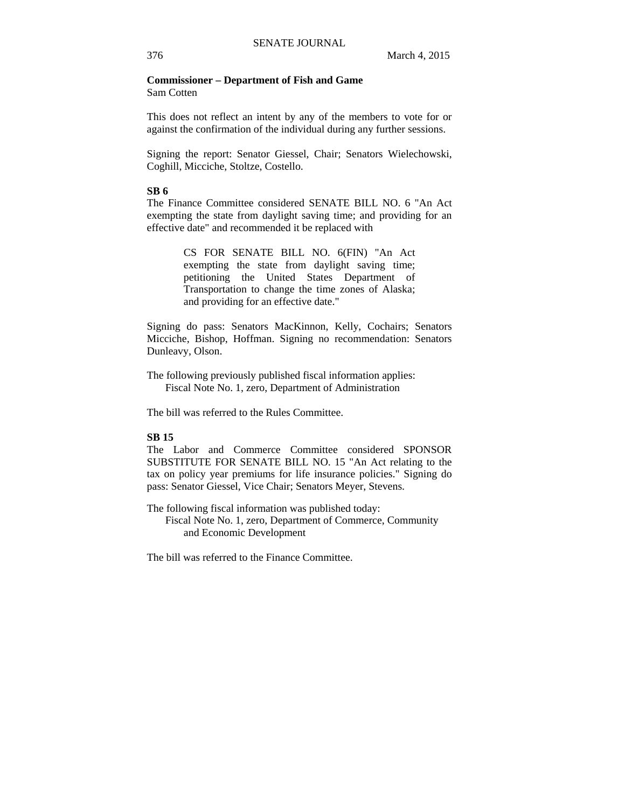### **Commissioner – Department of Fish and Game**  Sam Cotten

This does not reflect an intent by any of the members to vote for or against the confirmation of the individual during any further sessions.

Signing the report: Senator Giessel, Chair; Senators Wielechowski, Coghill, Micciche, Stoltze, Costello.

### **SB 6**

The Finance Committee considered SENATE BILL NO. 6 "An Act exempting the state from daylight saving time; and providing for an effective date" and recommended it be replaced with

> CS FOR SENATE BILL NO. 6(FIN) "An Act exempting the state from daylight saving time; petitioning the United States Department of Transportation to change the time zones of Alaska; and providing for an effective date."

Signing do pass: Senators MacKinnon, Kelly, Cochairs; Senators Micciche, Bishop, Hoffman. Signing no recommendation: Senators Dunleavy, Olson.

The following previously published fiscal information applies: Fiscal Note No. 1, zero, Department of Administration

The bill was referred to the Rules Committee.

### **SB 15**

The Labor and Commerce Committee considered SPONSOR SUBSTITUTE FOR SENATE BILL NO. 15 "An Act relating to the tax on policy year premiums for life insurance policies." Signing do pass: Senator Giessel, Vice Chair; Senators Meyer, Stevens.

The following fiscal information was published today: Fiscal Note No. 1, zero, Department of Commerce, Community and Economic Development

The bill was referred to the Finance Committee.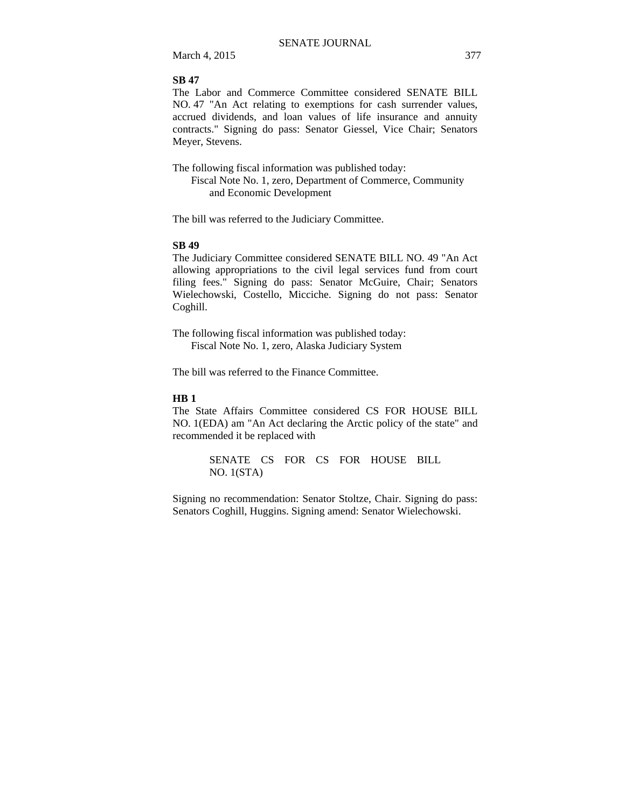March 4, 2015 377

### **SB 47**

The Labor and Commerce Committee considered SENATE BILL NO. 47 "An Act relating to exemptions for cash surrender values, accrued dividends, and loan values of life insurance and annuity contracts." Signing do pass: Senator Giessel, Vice Chair; Senators Meyer, Stevens.

The following fiscal information was published today: Fiscal Note No. 1, zero, Department of Commerce, Community and Economic Development

The bill was referred to the Judiciary Committee.

### **SB 49**

The Judiciary Committee considered SENATE BILL NO. 49 "An Act allowing appropriations to the civil legal services fund from court filing fees." Signing do pass: Senator McGuire, Chair; Senators Wielechowski, Costello, Micciche. Signing do not pass: Senator Coghill.

The following fiscal information was published today: Fiscal Note No. 1, zero, Alaska Judiciary System

The bill was referred to the Finance Committee.

### **HB 1**

The State Affairs Committee considered CS FOR HOUSE BILL NO. 1(EDA) am "An Act declaring the Arctic policy of the state" and recommended it be replaced with

> SENATE CS FOR CS FOR HOUSE BILL NO. 1(STA)

Signing no recommendation: Senator Stoltze, Chair. Signing do pass: Senators Coghill, Huggins. Signing amend: Senator Wielechowski.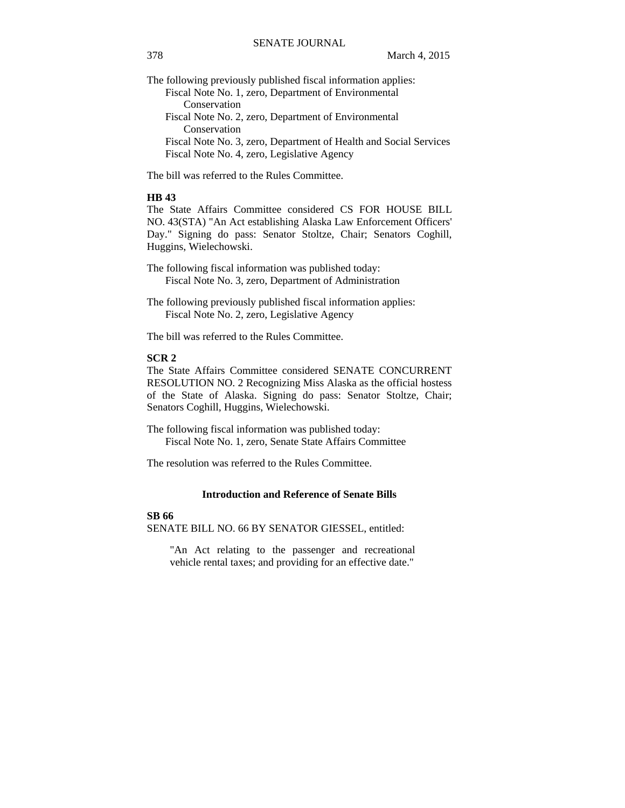The following previously published fiscal information applies:

Fiscal Note No. 1, zero, Department of Environmental Conservation Fiscal Note No. 2, zero, Department of Environmental

 Conservation Fiscal Note No. 3, zero, Department of Health and Social Services Fiscal Note No. 4, zero, Legislative Agency

The bill was referred to the Rules Committee.

### **HB 43**

The State Affairs Committee considered CS FOR HOUSE BILL NO. 43(STA) "An Act establishing Alaska Law Enforcement Officers' Day." Signing do pass: Senator Stoltze, Chair; Senators Coghill, Huggins, Wielechowski.

The following fiscal information was published today: Fiscal Note No. 3, zero, Department of Administration

The following previously published fiscal information applies: Fiscal Note No. 2, zero, Legislative Agency

The bill was referred to the Rules Committee.

### **SCR 2**

The State Affairs Committee considered SENATE CONCURRENT RESOLUTION NO. 2 Recognizing Miss Alaska as the official hostess of the State of Alaska. Signing do pass: Senator Stoltze, Chair; Senators Coghill, Huggins, Wielechowski.

The following fiscal information was published today: Fiscal Note No. 1, zero, Senate State Affairs Committee

The resolution was referred to the Rules Committee.

### **Introduction and Reference of Senate Bills**

### **SB 66**

SENATE BILL NO. 66 BY SENATOR GIESSEL, entitled:

"An Act relating to the passenger and recreational vehicle rental taxes; and providing for an effective date."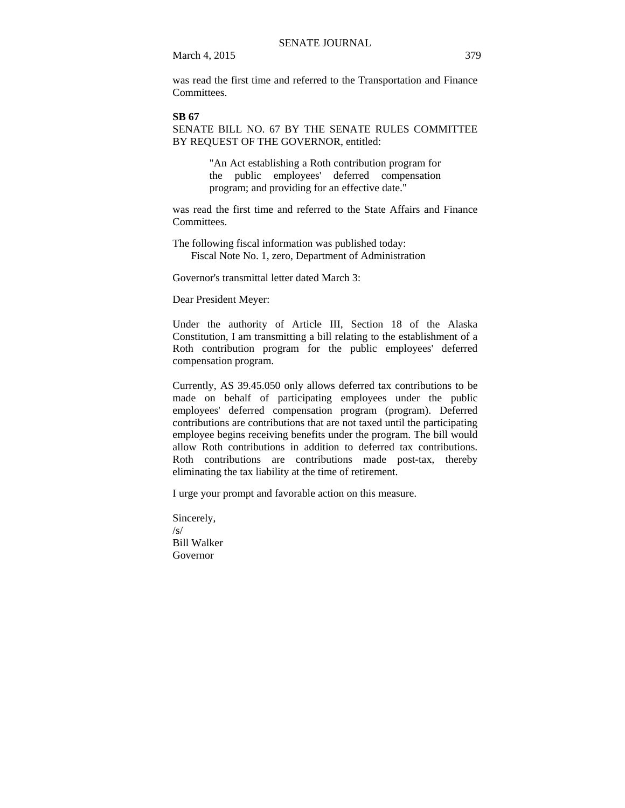March 4, 2015 379

was read the first time and referred to the Transportation and Finance **Committees** 

### **SB 67**

SENATE BILL NO. 67 BY THE SENATE RULES COMMITTEE BY REQUEST OF THE GOVERNOR, entitled:

> "An Act establishing a Roth contribution program for the public employees' deferred compensation program; and providing for an effective date."

was read the first time and referred to the State Affairs and Finance **Committees** 

The following fiscal information was published today: Fiscal Note No. 1, zero, Department of Administration

Governor's transmittal letter dated March 3:

Dear President Meyer:

Under the authority of Article III, Section 18 of the Alaska Constitution, I am transmitting a bill relating to the establishment of a Roth contribution program for the public employees' deferred compensation program.

Currently, AS 39.45.050 only allows deferred tax contributions to be made on behalf of participating employees under the public employees' deferred compensation program (program). Deferred contributions are contributions that are not taxed until the participating employee begins receiving benefits under the program. The bill would allow Roth contributions in addition to deferred tax contributions. Roth contributions are contributions made post-tax, thereby eliminating the tax liability at the time of retirement.

I urge your prompt and favorable action on this measure.

Sincerely,  $\sqrt{s}$ Bill Walker Governor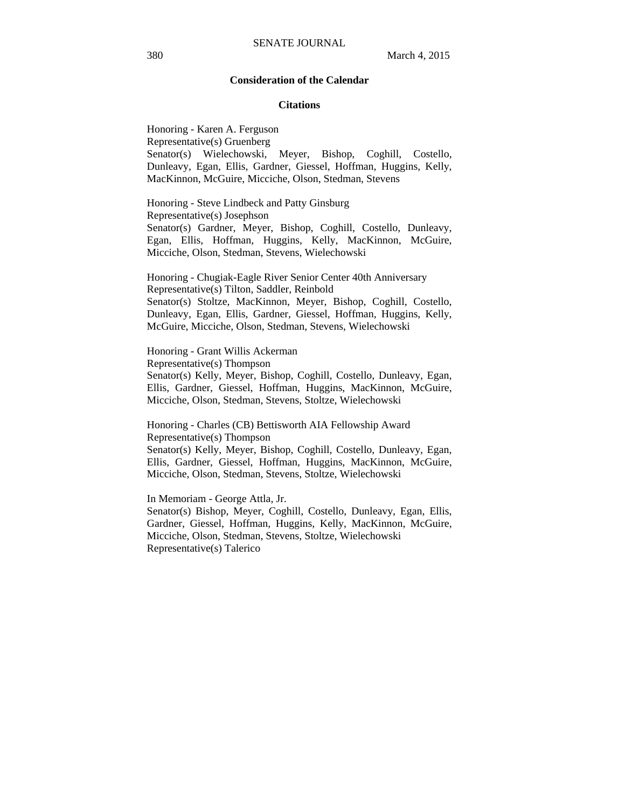#### **Consideration of the Calendar**

#### **Citations**

Honoring - Karen A. Ferguson Representative(s) Gruenberg Senator(s) Wielechowski, Meyer, Bishop, Coghill, Costello, Dunleavy, Egan, Ellis, Gardner, Giessel, Hoffman, Huggins, Kelly, MacKinnon, McGuire, Micciche, Olson, Stedman, Stevens

Honoring - Steve Lindbeck and Patty Ginsburg Representative(s) Josephson Senator(s) Gardner, Meyer, Bishop, Coghill, Costello, Dunleavy, Egan, Ellis, Hoffman, Huggins, Kelly, MacKinnon, McGuire, Micciche, Olson, Stedman, Stevens, Wielechowski

Honoring - Chugiak-Eagle River Senior Center 40th Anniversary Representative(s) Tilton, Saddler, Reinbold Senator(s) Stoltze, MacKinnon, Meyer, Bishop, Coghill, Costello, Dunleavy, Egan, Ellis, Gardner, Giessel, Hoffman, Huggins, Kelly, McGuire, Micciche, Olson, Stedman, Stevens, Wielechowski

Honoring - Grant Willis Ackerman Representative(s) Thompson Senator(s) Kelly, Meyer, Bishop, Coghill, Costello, Dunleavy, Egan, Ellis, Gardner, Giessel, Hoffman, Huggins, MacKinnon, McGuire, Micciche, Olson, Stedman, Stevens, Stoltze, Wielechowski

Honoring - Charles (CB) Bettisworth AIA Fellowship Award Representative(s) Thompson

Senator(s) Kelly, Meyer, Bishop, Coghill, Costello, Dunleavy, Egan, Ellis, Gardner, Giessel, Hoffman, Huggins, MacKinnon, McGuire, Micciche, Olson, Stedman, Stevens, Stoltze, Wielechowski

In Memoriam - George Attla, Jr. Senator(s) Bishop, Meyer, Coghill, Costello, Dunleavy, Egan, Ellis, Gardner, Giessel, Hoffman, Huggins, Kelly, MacKinnon, McGuire, Micciche, Olson, Stedman, Stevens, Stoltze, Wielechowski Representative(s) Talerico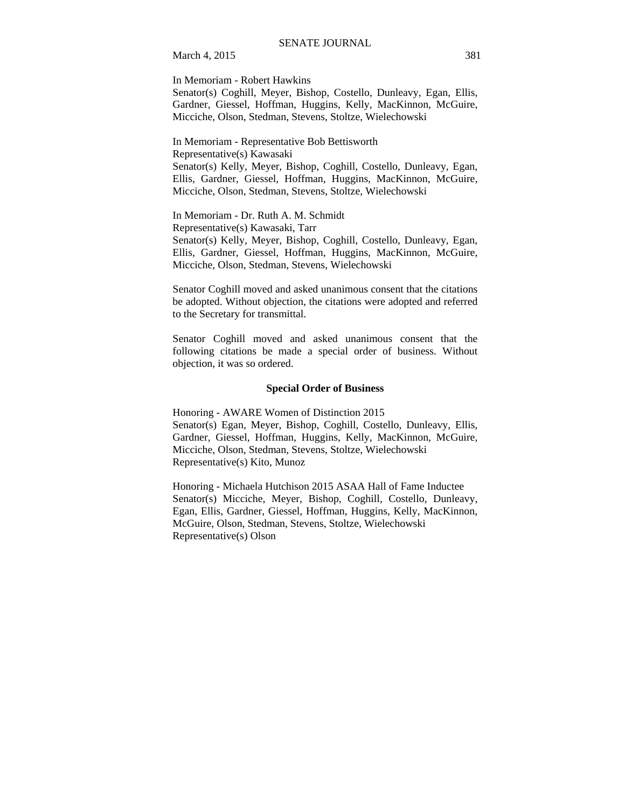March 4, 2015 381

In Memoriam - Robert Hawkins

Senator(s) Coghill, Meyer, Bishop, Costello, Dunleavy, Egan, Ellis, Gardner, Giessel, Hoffman, Huggins, Kelly, MacKinnon, McGuire, Micciche, Olson, Stedman, Stevens, Stoltze, Wielechowski

In Memoriam - Representative Bob Bettisworth Representative(s) Kawasaki Senator(s) Kelly, Meyer, Bishop, Coghill, Costello, Dunleavy, Egan, Ellis, Gardner, Giessel, Hoffman, Huggins, MacKinnon, McGuire, Micciche, Olson, Stedman, Stevens, Stoltze, Wielechowski

In Memoriam - Dr. Ruth A. M. Schmidt Representative(s) Kawasaki, Tarr Senator(s) Kelly, Meyer, Bishop, Coghill, Costello, Dunleavy, Egan, Ellis, Gardner, Giessel, Hoffman, Huggins, MacKinnon, McGuire, Micciche, Olson, Stedman, Stevens, Wielechowski

Senator Coghill moved and asked unanimous consent that the citations be adopted. Without objection, the citations were adopted and referred to the Secretary for transmittal.

Senator Coghill moved and asked unanimous consent that the following citations be made a special order of business. Without objection, it was so ordered.

### **Special Order of Business**

Honoring - AWARE Women of Distinction 2015 Senator(s) Egan, Meyer, Bishop, Coghill, Costello, Dunleavy, Ellis, Gardner, Giessel, Hoffman, Huggins, Kelly, MacKinnon, McGuire, Micciche, Olson, Stedman, Stevens, Stoltze, Wielechowski Representative(s) Kito, Munoz

Honoring - Michaela Hutchison 2015 ASAA Hall of Fame Inductee Senator(s) Micciche, Meyer, Bishop, Coghill, Costello, Dunleavy, Egan, Ellis, Gardner, Giessel, Hoffman, Huggins, Kelly, MacKinnon, McGuire, Olson, Stedman, Stevens, Stoltze, Wielechowski Representative(s) Olson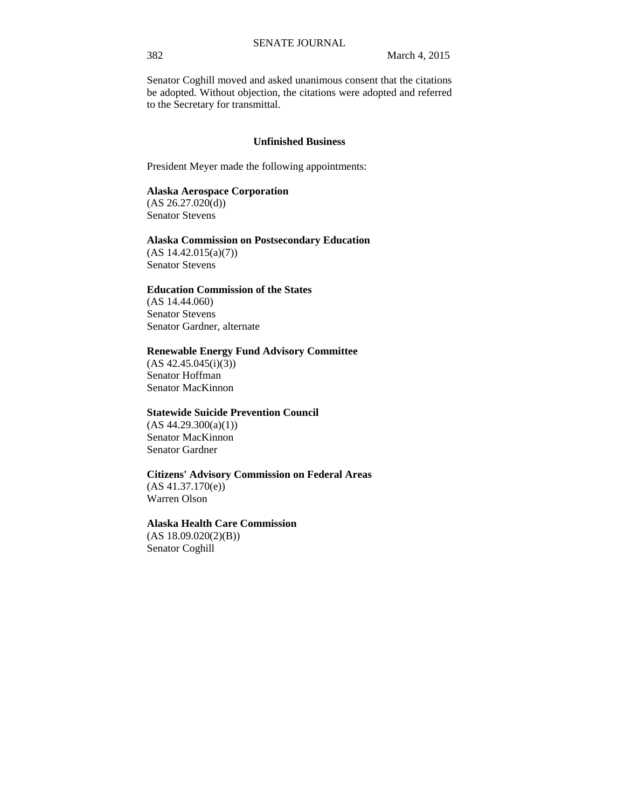Senator Coghill moved and asked unanimous consent that the citations be adopted. Without objection, the citations were adopted and referred to the Secretary for transmittal.

### **Unfinished Business**

President Meyer made the following appointments:

### **Alaska Aerospace Corporation**

 $(AS 26.27.020(d))$ Senator Stevens

### **Alaska Commission on Postsecondary Education**

(AS 14.42.015(a)(7)) Senator Stevens

### **Education Commission of the States**

(AS 14.44.060) Senator Stevens Senator Gardner, alternate

#### **Renewable Energy Fund Advisory Committee**

 $(AS 42.45.045(i)(3))$ Senator Hoffman Senator MacKinnon

### **Statewide Suicide Prevention Council**

 $(AS 44.29.300(a)(1))$ Senator MacKinnon Senator Gardner

#### **Citizens' Advisory Commission on Federal Areas**

(AS 41.37.170(e)) Warren Olson

### **Alaska Health Care Commission**

 $(AS 18.09.020(2)(B))$ Senator Coghill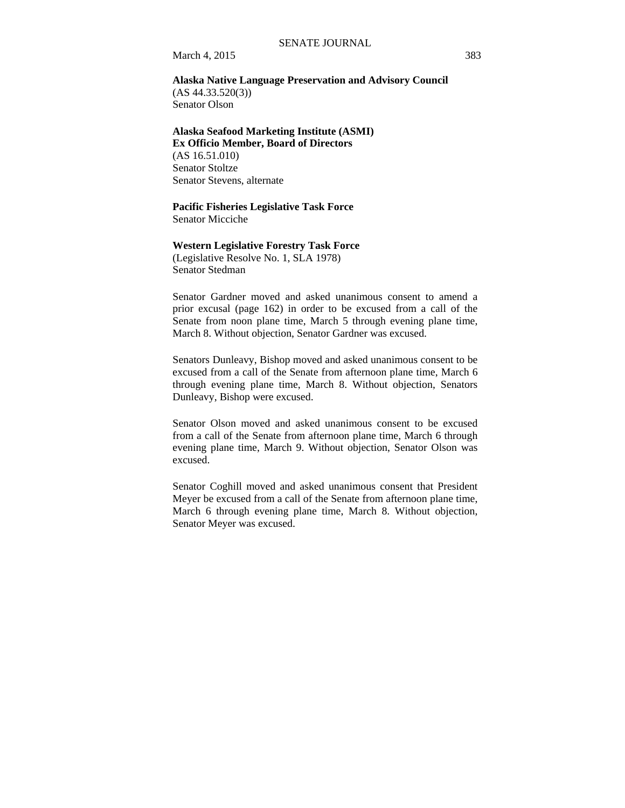March 4, 2015 383

### **Alaska Native Language Preservation and Advisory Council**  (AS 44.33.520(3)) Senator Olson

# **Alaska Seafood Marketing Institute (ASMI) Ex Officio Member, Board of Directors**  (AS 16.51.010)

Senator Stoltze Senator Stevens, alternate

# **Pacific Fisheries Legislative Task Force**

Senator Micciche

#### **Western Legislative Forestry Task Force**

(Legislative Resolve No. 1, SLA 1978) Senator Stedman

Senator Gardner moved and asked unanimous consent to amend a prior excusal (page 162) in order to be excused from a call of the Senate from noon plane time, March 5 through evening plane time, March 8. Without objection, Senator Gardner was excused.

Senators Dunleavy, Bishop moved and asked unanimous consent to be excused from a call of the Senate from afternoon plane time, March 6 through evening plane time, March 8. Without objection, Senators Dunleavy, Bishop were excused.

Senator Olson moved and asked unanimous consent to be excused from a call of the Senate from afternoon plane time, March 6 through evening plane time, March 9. Without objection, Senator Olson was excused.

Senator Coghill moved and asked unanimous consent that President Meyer be excused from a call of the Senate from afternoon plane time, March 6 through evening plane time, March 8. Without objection, Senator Meyer was excused.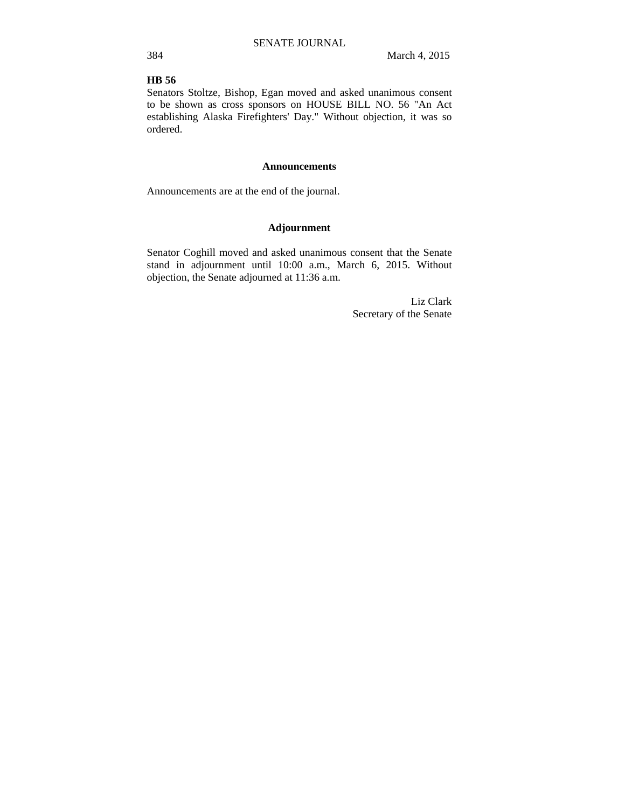### **HB 56**

Senators Stoltze, Bishop, Egan moved and asked unanimous consent to be shown as cross sponsors on HOUSE BILL NO. 56 "An Act establishing Alaska Firefighters' Day." Without objection, it was so ordered.

#### **Announcements**

Announcements are at the end of the journal.

### **Adjournment**

Senator Coghill moved and asked unanimous consent that the Senate stand in adjournment until 10:00 a.m., March 6, 2015. Without objection, the Senate adjourned at 11:36 a.m.

> Liz Clark Secretary of the Senate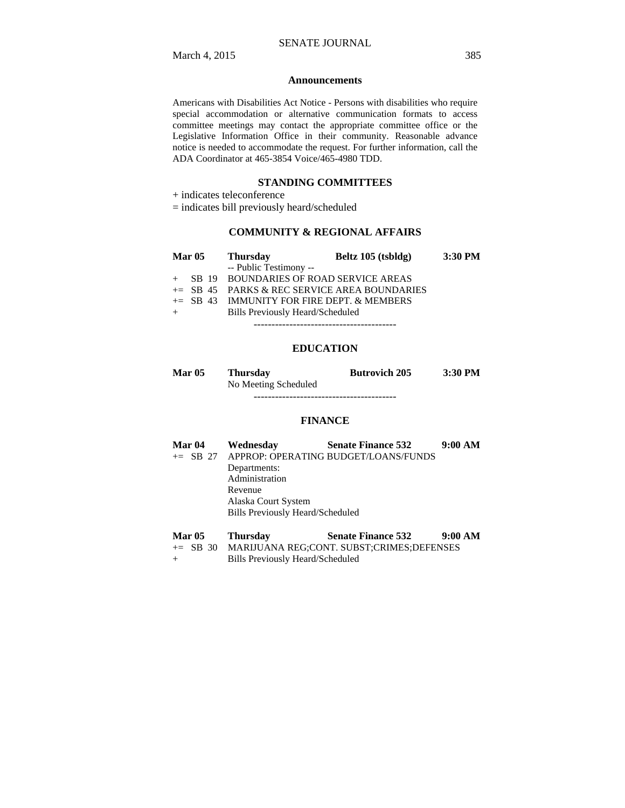### **Announcements**

Americans with Disabilities Act Notice - Persons with disabilities who require special accommodation or alternative communication formats to access committee meetings may contact the appropriate committee office or the Legislative Information Office in their community. Reasonable advance notice is needed to accommodate the request. For further information, call the ADA Coordinator at 465-3854 Voice/465-4980 TDD.

### **STANDING COMMITTEES**

+ indicates teleconference

= indicates bill previously heard/scheduled

### **COMMUNITY & REGIONAL AFFAIRS**

| <b>Mar 05</b> | <b>Thursday</b>                         | Beltz 105 (tsbldg)                             | $3:30$ PM |
|---------------|-----------------------------------------|------------------------------------------------|-----------|
|               | -- Public Testimony --                  |                                                |           |
|               |                                         | + SB 19 BOUNDARIES OF ROAD SERVICE AREAS       |           |
|               |                                         | $+=$ SB 45 PARKS & REC SERVICE AREA BOUNDARIES |           |
|               |                                         | $+=$ SB 43 IMMUNITY FOR FIRE DEPT. & MEMBERS   |           |
|               | <b>Bills Previously Heard/Scheduled</b> |                                                |           |
|               |                                         |                                                |           |

### **EDUCATION**

| <b>Mar 05</b> | <b>Thursday</b>      | <b>Butrovich 205</b> | 3:30 PM |
|---------------|----------------------|----------------------|---------|
|               | No Meeting Scheduled |                      |         |
|               |                      |                      |         |

#### **FINANCE**

| <b>Mar 04</b> | Wednesday                               | <b>Senate Finance 532</b>                     | 9:00 AM |
|---------------|-----------------------------------------|-----------------------------------------------|---------|
|               |                                         | += SB 27 APPROP: OPERATING BUDGET/LOANS/FUNDS |         |
|               | Departments:                            |                                               |         |
|               | Administration                          |                                               |         |
|               | Revenue                                 |                                               |         |
|               | Alaska Court System                     |                                               |         |
|               | <b>Bills Previously Heard/Scheduled</b> |                                               |         |

| <b>Mar 05</b> | <b>Thursday</b> | <b>Senate Finance 532</b>                          | 9:00 AM |
|---------------|-----------------|----------------------------------------------------|---------|
|               |                 | += SB 30 MARIJUANA REG;CONT. SUBST;CRIMES;DEFENSES |         |

+ Bills Previously Heard/Scheduled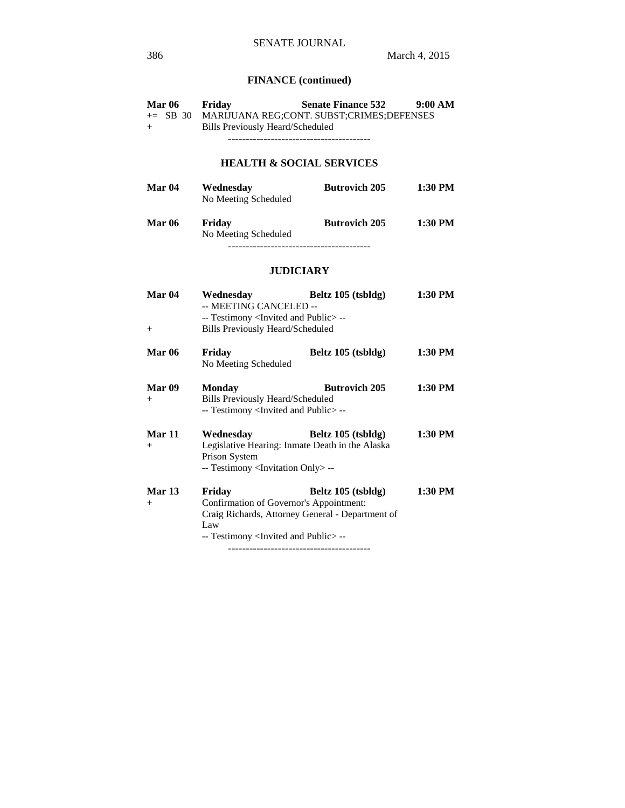# **FINANCE (continued)**

| <b>Mar 06</b> | Friday                           | <b>Senate Finance 532</b>                          | 9:00 AM |
|---------------|----------------------------------|----------------------------------------------------|---------|
|               |                                  | += SB 30 MARIJUANA REG:CONT. SUBST:CRIMES:DEFENSES |         |
| $+$           | Bills Previously Heard/Scheduled |                                                    |         |
|               |                                  |                                                    |         |
|               |                                  |                                                    |         |

# **HEALTH & SOCIAL SERVICES**

| <b>Mar 04</b> | Wednesday<br>No Meeting Scheduled | <b>Butrovich 205</b> | 1:30 PM   |
|---------------|-----------------------------------|----------------------|-----------|
| <b>Mar 06</b> | Friday<br>No Meeting Scheduled    | <b>Butrovich 205</b> | $1:30$ PM |

----------------------------------------

### **JUDICIARY**

| Mar 04        | Wednesday                                                                                | Beltz 105 (tsbldg)   | 1:30 PM |
|---------------|------------------------------------------------------------------------------------------|----------------------|---------|
|               | -- MEETING CANCELED --                                                                   |                      |         |
|               | -- Testimony <invited and="" public="">--</invited>                                      |                      |         |
| $+$           | <b>Bills Previously Heard/Scheduled</b>                                                  |                      |         |
| <b>Mar 06</b> | Friday                                                                                   | Beltz 105 (tsbldg)   | 1:30 PM |
|               | No Meeting Scheduled                                                                     |                      |         |
| Mar 09        | Monday                                                                                   | <b>Butrovich 205</b> | 1:30 PM |
| $^{+}$        | Bills Previously Heard/Scheduled<br>-- Testimony <invited and="" public=""> --</invited> |                      |         |
| Mar 11        | Wednesday                                                                                | Beltz 105 (tsbldg)   | 1:30 PM |
| $+$           | Legislative Hearing: Inmate Death in the Alaska                                          |                      |         |
|               | Prison System                                                                            |                      |         |
|               | -- Testimony <invitation only=""> --</invitation>                                        |                      |         |
| <b>Mar 13</b> | Friday                                                                                   | Beltz 105 (tsbldg)   | 1:30 PM |
| $+$           | Confirmation of Governor's Appointment:                                                  |                      |         |
|               | Craig Richards, Attorney General - Department of                                         |                      |         |
|               | Law                                                                                      |                      |         |
|               | -- Testimony <invited and="" public="">--</invited>                                      |                      |         |
|               |                                                                                          |                      |         |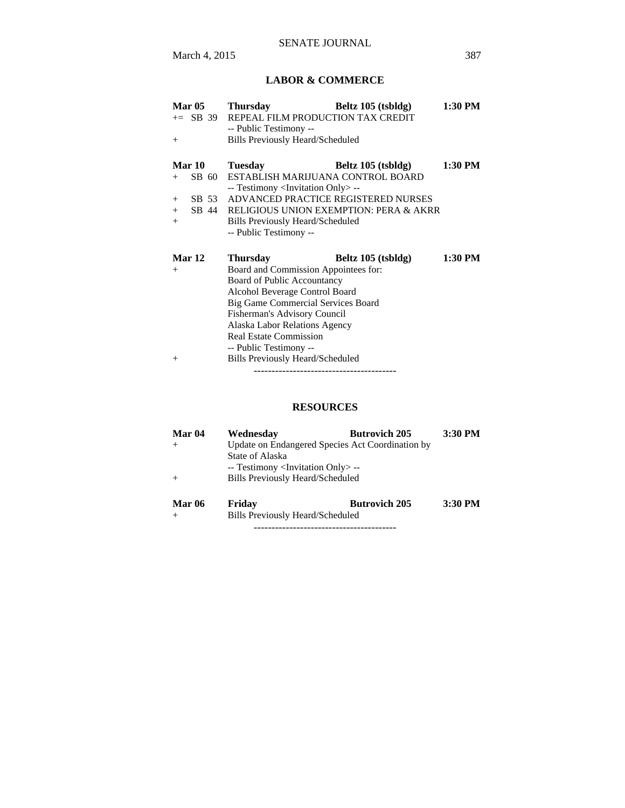# **LABOR & COMMERCE**

| <b>Mar 05</b> | <b>Thursday</b>                                                     | Beltz 105 (tsbldg)                     | 1:30 PM |
|---------------|---------------------------------------------------------------------|----------------------------------------|---------|
|               | $+=$ SB 39 REPEAL FILM PRODUCTION TAX CREDIT                        |                                        |         |
|               | -- Public Testimony --                                              |                                        |         |
| $+$           | <b>Bills Previously Heard/Scheduled</b>                             |                                        |         |
|               |                                                                     |                                        |         |
| <b>Mar 10</b> | <b>Tuesday</b>                                                      | Beltz 105 (tsbldg)                     | 1:30 PM |
| SB 60<br>$+$  | ESTABLISH MARIJUANA CONTROL BOARD                                   |                                        |         |
|               | -- Testimony <invitation only=""> --</invitation>                   |                                        |         |
| SB 53<br>$+$  |                                                                     | ADVANCED PRACTICE REGISTERED NURSES    |         |
| SB 44<br>$+$  |                                                                     | RELIGIOUS UNION EXEMPTION: PERA & AKRR |         |
| $+$           | Bills Previously Heard/Scheduled                                    |                                        |         |
|               | -- Public Testimony --                                              |                                        |         |
|               |                                                                     |                                        |         |
|               |                                                                     |                                        |         |
| Mar 12        |                                                                     |                                        | 1:30 PM |
| $+$           | <b>Thursday</b>                                                     | Beltz 105 (tsbldg)                     |         |
|               | Board and Commission Appointees for:<br>Board of Public Accountancy |                                        |         |
|               | Alcohol Beverage Control Board                                      |                                        |         |
|               | Big Game Commercial Services Board                                  |                                        |         |
|               | Fisherman's Advisory Council                                        |                                        |         |
|               | Alaska Labor Relations Agency                                       |                                        |         |
|               | <b>Real Estate Commission</b>                                       |                                        |         |
|               | -- Public Testimony --                                              |                                        |         |
| $^{+}$        | Bills Previously Heard/Scheduled                                    |                                        |         |

# **RESOURCES**

| Mar 04        | Wednesdav                                         | <b>Butrovich 205</b>                             | 3:30 PM |
|---------------|---------------------------------------------------|--------------------------------------------------|---------|
|               |                                                   | Update on Endangered Species Act Coordination by |         |
|               | State of Alaska                                   |                                                  |         |
|               | -- Testimony <invitation only=""> --</invitation> |                                                  |         |
|               | <b>Bills Previously Heard/Scheduled</b>           |                                                  |         |
| <b>Mar 06</b> | Friday                                            | <b>Butrovich 205</b>                             | 3:30 PM |
|               | <b>Bills Previously Heard/Scheduled</b>           |                                                  |         |

----------------------------------------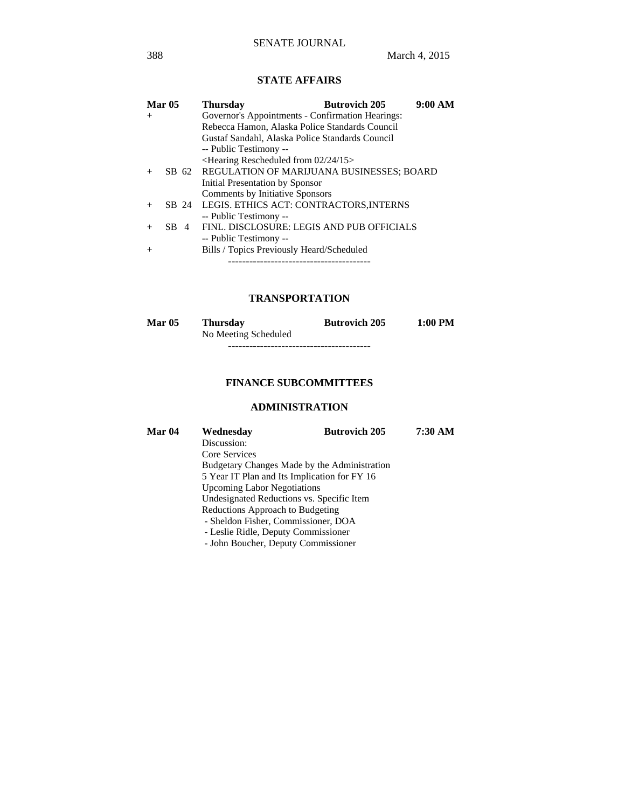# **STATE AFFAIRS**

|        | <b>Mar 05</b> | 9:00 AM<br><b>Butrovich 205</b><br><b>Thursday</b> |
|--------|---------------|----------------------------------------------------|
| $^{+}$ |               | Governor's Appointments - Confirmation Hearings:   |
|        |               | Rebecca Hamon, Alaska Police Standards Council     |
|        |               | Gustaf Sandahl, Alaska Police Standards Council    |
|        |               | -- Public Testimony --                             |
|        |               | $\leq$ Hearing Rescheduled from 02/24/15>          |
| $^{+}$ |               | SB 62 REGULATION OF MARIJUANA BUSINESSES; BOARD    |
|        |               | Initial Presentation by Sponsor                    |
|        |               | Comments by Initiative Sponsors                    |
| $^{+}$ |               | SB 24 LEGIS. ETHICS ACT: CONTRACTORS, INTERNS      |
|        |               | -- Public Testimony --                             |
|        | $SB$ 4        | FINL. DISCLOSURE: LEGIS AND PUB OFFICIALS          |
|        |               | -- Public Testimony --                             |
| $^{+}$ |               | Bills / Topics Previously Heard/Scheduled          |
|        |               |                                                    |

### **TRANSPORTATION**

| <b>Mar 05</b> | <b>Thursday</b>      | <b>Butrovich 205</b> | 1:00 PM |
|---------------|----------------------|----------------------|---------|
|               | No Meeting Scheduled |                      |         |
|               |                      |                      |         |

# **FINANCE SUBCOMMITTEES**

# **ADMINISTRATION**

| Mar 04 | Wednesday                                    | <b>Butrovich 205</b> | 7:30 AM |
|--------|----------------------------------------------|----------------------|---------|
|        | Discussion:                                  |                      |         |
|        | Core Services                                |                      |         |
|        | Budgetary Changes Made by the Administration |                      |         |
|        | 5 Year IT Plan and Its Implication for FY 16 |                      |         |
|        | <b>Upcoming Labor Negotiations</b>           |                      |         |
|        | Undesignated Reductions vs. Specific Item    |                      |         |
|        | Reductions Approach to Budgeting             |                      |         |
|        | - Sheldon Fisher, Commissioner, DOA          |                      |         |
|        | - Leslie Ridle, Deputy Commissioner          |                      |         |
|        | - John Boucher, Deputy Commissioner          |                      |         |
|        |                                              |                      |         |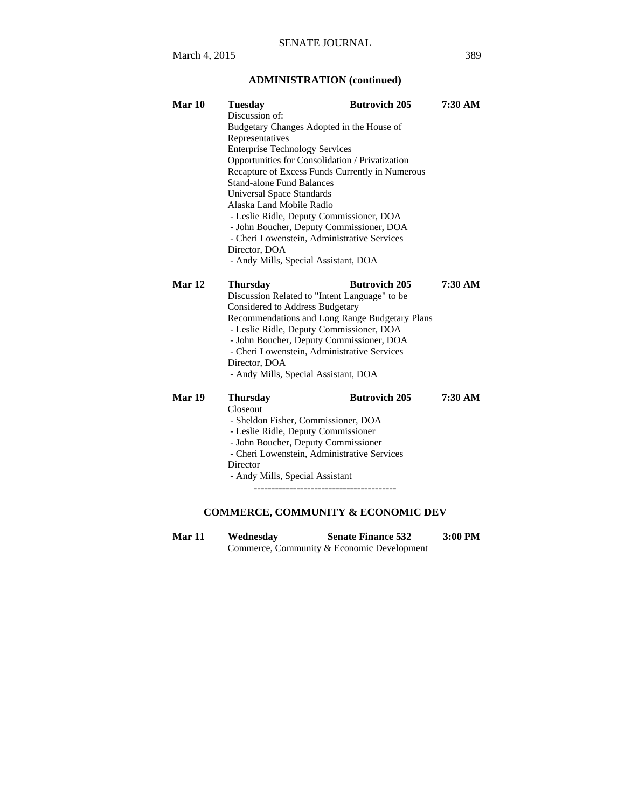# **ADMINISTRATION (continued)**

| Mar 10 | <b>Tuesday</b>                                 | <b>Butrovich 205</b>                            | 7:30 AM   |  |  |
|--------|------------------------------------------------|-------------------------------------------------|-----------|--|--|
|        | Discussion of:                                 |                                                 |           |  |  |
|        | Budgetary Changes Adopted in the House of      |                                                 |           |  |  |
|        | Representatives                                |                                                 |           |  |  |
|        | <b>Enterprise Technology Services</b>          |                                                 |           |  |  |
|        |                                                | Opportunities for Consolidation / Privatization |           |  |  |
|        |                                                | Recapture of Excess Funds Currently in Numerous |           |  |  |
|        | <b>Stand-alone Fund Balances</b>               |                                                 |           |  |  |
|        | <b>Universal Space Standards</b>               |                                                 |           |  |  |
|        | Alaska Land Mobile Radio                       |                                                 |           |  |  |
|        |                                                | - Leslie Ridle, Deputy Commissioner, DOA        |           |  |  |
|        |                                                | - John Boucher, Deputy Commissioner, DOA        |           |  |  |
|        |                                                | - Cheri Lowenstein, Administrative Services     |           |  |  |
|        | Director, DOA                                  |                                                 |           |  |  |
|        | - Andy Mills, Special Assistant, DOA           |                                                 |           |  |  |
| Mar 12 | <b>Thursday</b>                                | <b>Butrovich 205</b>                            | $7:30$ AM |  |  |
|        | Discussion Related to "Intent Language" to be  |                                                 |           |  |  |
|        | <b>Considered to Address Budgetary</b>         |                                                 |           |  |  |
|        | Recommendations and Long Range Budgetary Plans |                                                 |           |  |  |
|        | - Leslie Ridle, Deputy Commissioner, DOA       |                                                 |           |  |  |
|        | - John Boucher, Deputy Commissioner, DOA       |                                                 |           |  |  |
|        | - Cheri Lowenstein, Administrative Services    |                                                 |           |  |  |
|        | Director, DOA                                  |                                                 |           |  |  |
|        | - Andy Mills, Special Assistant, DOA           |                                                 |           |  |  |
| Mar 19 | <b>Thursday</b>                                | <b>Butrovich 205</b>                            | 7:30 AM   |  |  |
|        | Closeout                                       |                                                 |           |  |  |
|        | - Sheldon Fisher, Commissioner, DOA            |                                                 |           |  |  |
|        | - Leslie Ridle, Deputy Commissioner            |                                                 |           |  |  |
|        | - John Boucher, Deputy Commissioner            |                                                 |           |  |  |
|        | - Cheri Lowenstein, Administrative Services    |                                                 |           |  |  |
|        | Director                                       |                                                 |           |  |  |
|        | - Andy Mills, Special Assistant                |                                                 |           |  |  |
|        |                                                |                                                 |           |  |  |
|        |                                                |                                                 |           |  |  |

# **COMMERCE, COMMUNITY & ECONOMIC DEV**

**Mar 11 Wednesday Senate Finance 532 3:00 PM**  Commerce, Community & Economic Development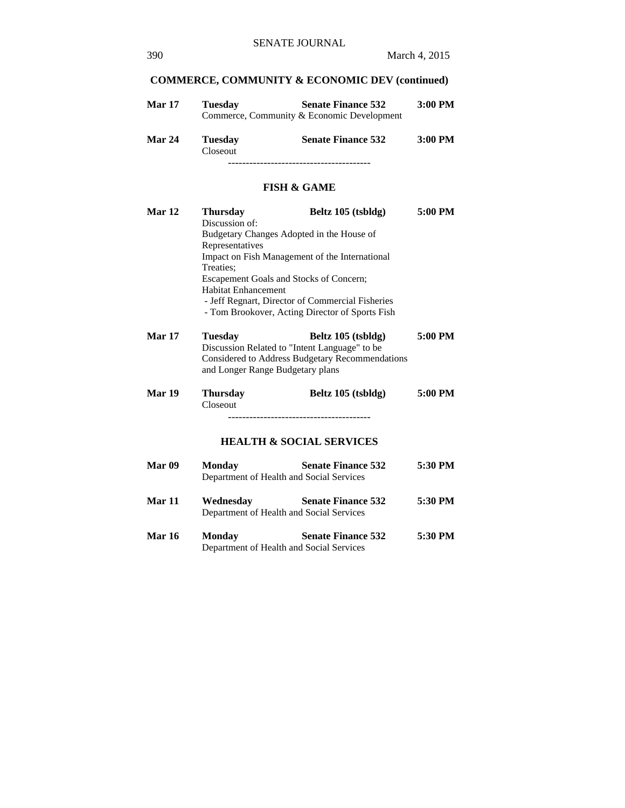# **COMMERCE, COMMUNITY & ECONOMIC DEV (continued)**

| <b>Mar 17</b> | Tuesdav | <b>Senate Finance 532</b>                  | $3:00$ PM |
|---------------|---------|--------------------------------------------|-----------|
|               |         | Commerce, Community & Economic Development |           |
|               |         |                                            |           |

| <b>Mar 24</b> | <b>Tuesday</b>  | <b>Senate Finance 532</b> | $3:00$ PM |
|---------------|-----------------|---------------------------|-----------|
|               | <b>Closeout</b> |                           |           |
|               |                 |                           |           |

### **FISH & GAME**

| Mar 12            | <b>Thursday</b>                               | Beltz 105 (tsbldg)                               | 5:00 PM |
|-------------------|-----------------------------------------------|--------------------------------------------------|---------|
|                   | Discussion of:                                |                                                  |         |
|                   | Budgetary Changes Adopted in the House of     |                                                  |         |
|                   | Representatives                               |                                                  |         |
|                   |                                               | Impact on Fish Management of the International   |         |
|                   | Treaties:                                     |                                                  |         |
|                   | Escapement Goals and Stocks of Concern;       |                                                  |         |
|                   | <b>Habitat Enhancement</b>                    |                                                  |         |
|                   |                                               | - Jeff Regnart, Director of Commercial Fisheries |         |
|                   |                                               | - Tom Brookover, Acting Director of Sports Fish  |         |
| <b>Mar 17</b>     | <b>Tuesday</b>                                | Beltz 105 (tsbldg)                               | 5:00 PM |
|                   | Discussion Related to "Intent Language" to be |                                                  |         |
|                   |                                               | Considered to Address Budgetary Recommendations  |         |
|                   | and Longer Range Budgetary plans              |                                                  |         |
|                   |                                               |                                                  |         |
| Mar 19            | <b>Thursday</b>                               | Beltz 105 (tsbldg)                               | 5:00 PM |
|                   | Closeout                                      |                                                  |         |
|                   |                                               |                                                  |         |
|                   |                                               | <b>HEALTH &amp; SOCIAL SERVICES</b>              |         |
|                   |                                               |                                                  |         |
| Mar <sub>09</sub> | Monday                                        | <b>Senate Finance 532</b>                        | 5:30 PM |
|                   | Department of Health and Social Services      |                                                  |         |
|                   |                                               |                                                  |         |
| <b>Mar 11</b>     | Wednesday                                     | <b>Senate Finance 532</b>                        | 5:30 PM |
|                   | Department of Health and Social Services      |                                                  |         |
| <b>Mar 16</b>     | <b>Monday</b>                                 | <b>Senate Finance 532</b>                        | 5:30 PM |
|                   | Department of Health and Social Services      |                                                  |         |
|                   |                                               |                                                  |         |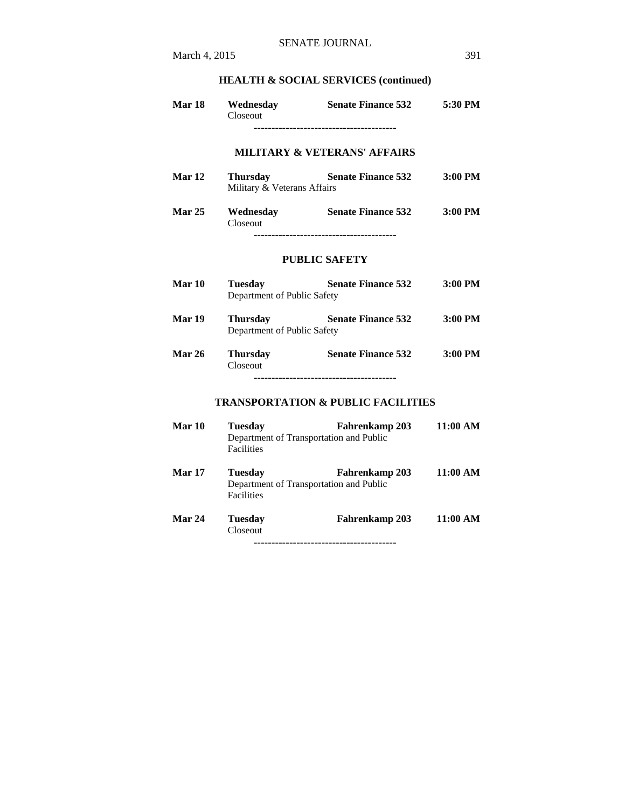# **HEALTH & SOCIAL SERVICES (continued)**

| <b>Mar 18</b> | Wednesday<br>Closeout                          | <b>Senate Finance 532</b>                                 | 5:30 PM   |
|---------------|------------------------------------------------|-----------------------------------------------------------|-----------|
|               |                                                | <b>MILITARY &amp; VETERANS' AFFAIRS</b>                   |           |
| Mar 12        | <b>Thursday</b><br>Military & Veterans Affairs | <b>Senate Finance 532</b>                                 | $3:00$ PM |
| <b>Mar 25</b> | Wednesday<br>Closeout                          | <b>Senate Finance 532</b>                                 | $3:00$ PM |
|               |                                                | <b>PUBLIC SAFETY</b>                                      |           |
| Mar 10        | <b>Tuesday</b><br>Department of Public Safety  | <b>Senate Finance 532</b>                                 | $3:00$ PM |
| Mar 19        | <b>Thursday</b><br>Department of Public Safety | <b>Senate Finance 532</b>                                 | $3:00$ PM |
| <b>Mar 26</b> | <b>Thursday</b><br>Closeout                    | <b>Senate Finance 532</b>                                 | 3:00 PM   |
|               |                                                | <b>TRANSPORTATION &amp; PUBLIC FACILITIES</b>             |           |
| Mar 10        | <b>Tuesday</b><br><b>Facilities</b>            | Fahrenkamp 203<br>Department of Transportation and Public | 11:00 AM  |
| <b>Mar 17</b> | <b>Tuesday</b><br><b>Facilities</b>            | Fahrenkamp 203<br>Department of Transportation and Public | 11:00 AM  |
| Mar 24        | <b>Tuesday</b><br>Closeout                     | <b>Fahrenkamp 203</b>                                     | 11:00 AM  |

----------------------------------------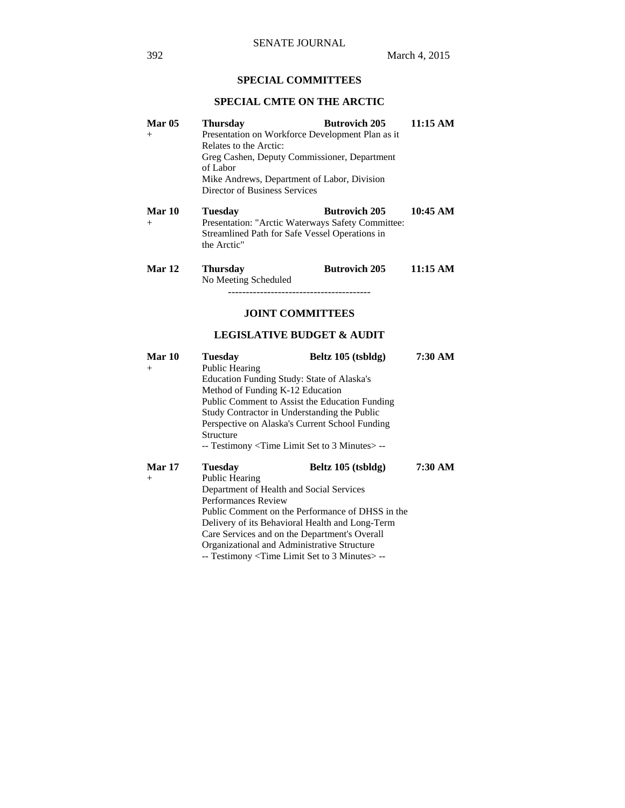# **SPECIAL COMMITTEES**

# **SPECIAL CMTE ON THE ARCTIC**

| <b>Thursday</b>        | <b>Butrovich 205</b> | 11:15 AM                                                                                                                                                                                                                                                                                                                                            |
|------------------------|----------------------|-----------------------------------------------------------------------------------------------------------------------------------------------------------------------------------------------------------------------------------------------------------------------------------------------------------------------------------------------------|
|                        |                      |                                                                                                                                                                                                                                                                                                                                                     |
| Relates to the Arctic: |                      |                                                                                                                                                                                                                                                                                                                                                     |
|                        |                      |                                                                                                                                                                                                                                                                                                                                                     |
| of Labor               |                      |                                                                                                                                                                                                                                                                                                                                                     |
|                        |                      |                                                                                                                                                                                                                                                                                                                                                     |
|                        |                      |                                                                                                                                                                                                                                                                                                                                                     |
| <b>Tuesday</b>         | Butrovich 205        | 10:45 AM                                                                                                                                                                                                                                                                                                                                            |
|                        |                      |                                                                                                                                                                                                                                                                                                                                                     |
|                        |                      |                                                                                                                                                                                                                                                                                                                                                     |
| the Arctic"            |                      |                                                                                                                                                                                                                                                                                                                                                     |
|                        | <b>Butrovich 205</b> | 11:15 AM                                                                                                                                                                                                                                                                                                                                            |
| No Meeting Scheduled   |                      |                                                                                                                                                                                                                                                                                                                                                     |
|                        |                      |                                                                                                                                                                                                                                                                                                                                                     |
|                        |                      |                                                                                                                                                                                                                                                                                                                                                     |
|                        | <b>Thursday</b>      | Presentation on Workforce Development Plan as it<br>Greg Cashen, Deputy Commissioner, Department<br>Mike Andrews, Department of Labor, Division<br>Director of Business Services<br>Presentation: "Arctic Waterways Safety Committee:<br>Streamlined Path for Safe Vessel Operations in<br>-----------------------------<br><b>JOINT COMMITTEES</b> |

### **LEGISLATIVE BUDGET & AUDIT**

| <b>Mar 10</b> | Tuesday                                          | Beltz 105 (tsbldg)               | 7:30 AM |  |  |
|---------------|--------------------------------------------------|----------------------------------|---------|--|--|
| $+$           | Public Hearing                                   |                                  |         |  |  |
|               | Education Funding Study: State of Alaska's       |                                  |         |  |  |
|               |                                                  | Method of Funding K-12 Education |         |  |  |
|               | Public Comment to Assist the Education Funding   |                                  |         |  |  |
|               | Study Contractor in Understanding the Public     |                                  |         |  |  |
|               | Perspective on Alaska's Current School Funding   |                                  |         |  |  |
|               | Structure                                        |                                  |         |  |  |
|               | -- Testimony < Time Limit Set to 3 Minutes > --  |                                  |         |  |  |
| <b>Mar 17</b> | <b>Tuesday</b>                                   | Beltz $105$ (tsbldg)             | 7:30 AM |  |  |
| $^{+}$        | Public Hearing                                   |                                  |         |  |  |
|               | Department of Health and Social Services         |                                  |         |  |  |
|               | <b>Performances Review</b>                       |                                  |         |  |  |
|               | Public Comment on the Performance of DHSS in the |                                  |         |  |  |
|               | Delivery of its Behavioral Health and Long-Term  |                                  |         |  |  |
|               | Care Services and on the Department's Overall    |                                  |         |  |  |
|               | Organizational and Administrative Structure      |                                  |         |  |  |
|               | -- Testimony < Time Limit Set to 3 Minutes > --  |                                  |         |  |  |